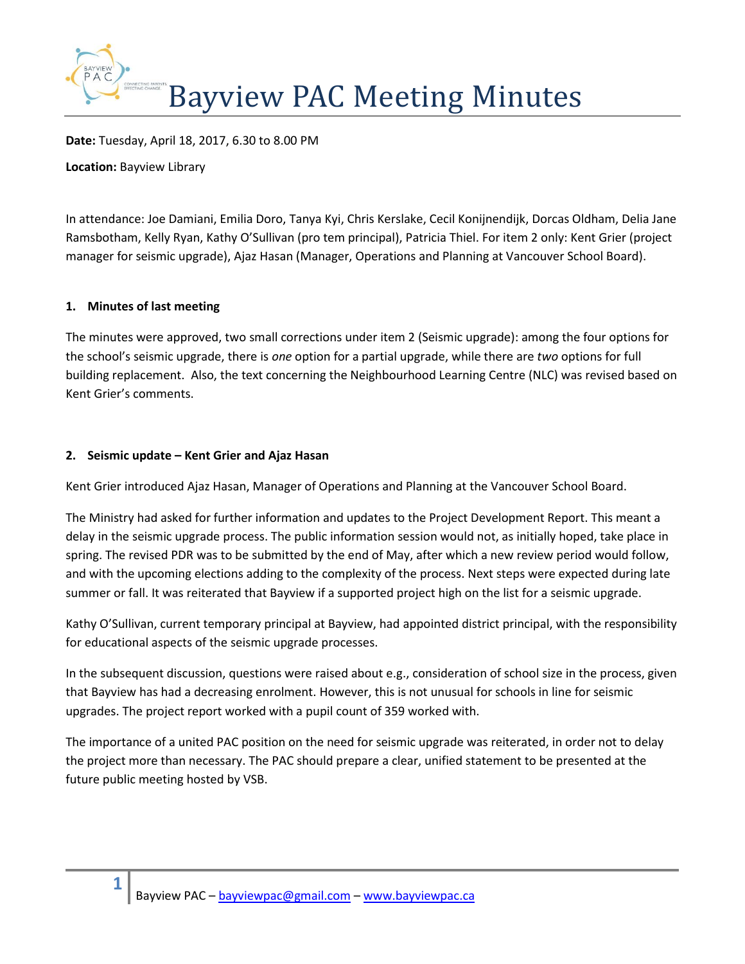

**Date:** Tuesday, April 18, 2017, 6.30 to 8.00 PM

**Location:** Bayview Library

In attendance: Joe Damiani, Emilia Doro, Tanya Kyi, Chris Kerslake, Cecil Konijnendijk, Dorcas Oldham, Delia Jane Ramsbotham, Kelly Ryan, Kathy O'Sullivan (pro tem principal), Patricia Thiel. For item 2 only: Kent Grier (project manager for seismic upgrade), Ajaz Hasan (Manager, Operations and Planning at Vancouver School Board).

## **1. Minutes of last meeting**

The minutes were approved, two small corrections under item 2 (Seismic upgrade): among the four options for the school's seismic upgrade, there is *one* option for a partial upgrade, while there are *two* options for full building replacement. Also, the text concerning the Neighbourhood Learning Centre (NLC) was revised based on Kent Grier's comments.

## **2. Seismic update – Kent Grier and Ajaz Hasan**

Kent Grier introduced Ajaz Hasan, Manager of Operations and Planning at the Vancouver School Board.

The Ministry had asked for further information and updates to the Project Development Report. This meant a delay in the seismic upgrade process. The public information session would not, as initially hoped, take place in spring. The revised PDR was to be submitted by the end of May, after which a new review period would follow, and with the upcoming elections adding to the complexity of the process. Next steps were expected during late summer or fall. It was reiterated that Bayview if a supported project high on the list for a seismic upgrade.

Kathy O'Sullivan, current temporary principal at Bayview, had appointed district principal, with the responsibility for educational aspects of the seismic upgrade processes.

In the subsequent discussion, questions were raised about e.g., consideration of school size in the process, given that Bayview has had a decreasing enrolment. However, this is not unusual for schools in line for seismic upgrades. The project report worked with a pupil count of 359 worked with.

The importance of a united PAC position on the need for seismic upgrade was reiterated, in order not to delay the project more than necessary. The PAC should prepare a clear, unified statement to be presented at the future public meeting hosted by VSB.

**1**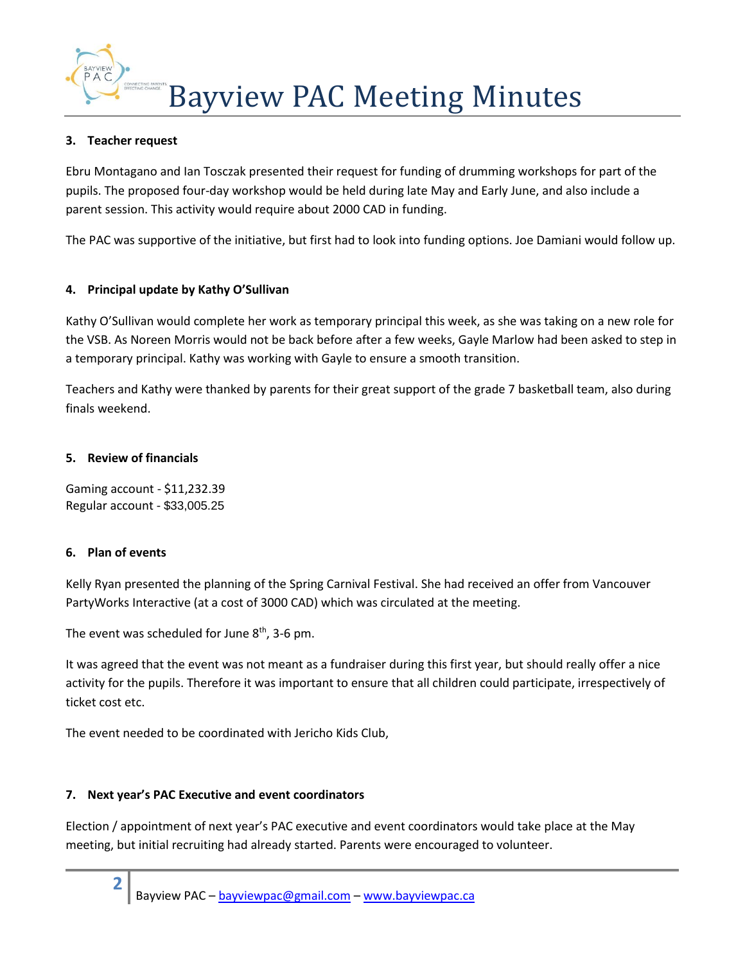Bayview PAC Meeting Minutes

## **3. Teacher request**

Ebru Montagano and Ian Tosczak presented their request for funding of drumming workshops for part of the pupils. The proposed four-day workshop would be held during late May and Early June, and also include a parent session. This activity would require about 2000 CAD in funding.

The PAC was supportive of the initiative, but first had to look into funding options. Joe Damiani would follow up.

# **4. Principal update by Kathy O'Sullivan**

Kathy O'Sullivan would complete her work as temporary principal this week, as she was taking on a new role for the VSB. As Noreen Morris would not be back before after a few weeks, Gayle Marlow had been asked to step in a temporary principal. Kathy was working with Gayle to ensure a smooth transition.

Teachers and Kathy were thanked by parents for their great support of the grade 7 basketball team, also during finals weekend.

## **5. Review of financials**

Gaming account - \$11,232.39 Regular account - \$33,005.25

## **6. Plan of events**

**2**

Kelly Ryan presented the planning of the Spring Carnival Festival. She had received an offer from Vancouver PartyWorks Interactive (at a cost of 3000 CAD) which was circulated at the meeting.

The event was scheduled for June  $8<sup>th</sup>$ , 3-6 pm.

It was agreed that the event was not meant as a fundraiser during this first year, but should really offer a nice activity for the pupils. Therefore it was important to ensure that all children could participate, irrespectively of ticket cost etc.

The event needed to be coordinated with Jericho Kids Club,

## **7. Next year's PAC Executive and event coordinators**

Election / appointment of next year's PAC executive and event coordinators would take place at the May meeting, but initial recruiting had already started. Parents were encouraged to volunteer.